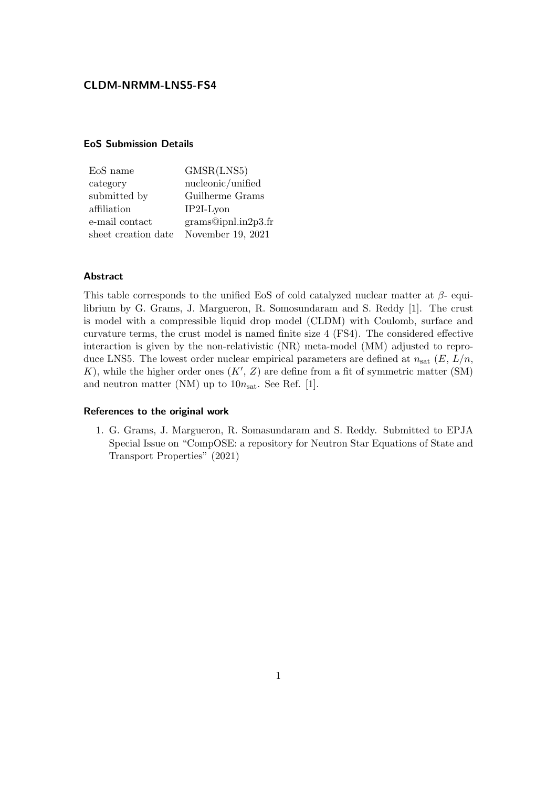# CLDM-NRMM-LNS5-FS4

### EoS Submission Details

| EoS name            | GMSR(LNS5)         |
|---------------------|--------------------|
| category            | nucleonic/unified  |
| submitted by        | Guilherme Grams    |
| affiliation         | $IP2I-Lvon$        |
| e-mail contact      | grams@ipnlin2p3.fr |
| sheet creation date | November 19, 2021  |

#### Abstract

This table corresponds to the unified EoS of cold catalyzed nuclear matter at  $\beta$ - equilibrium by G. Grams, J. Margueron, R. Somosundaram and S. Reddy [1]. The crust is model with a compressible liquid drop model (CLDM) with Coulomb, surface and curvature terms, the crust model is named finite size 4 (FS4). The considered effective interaction is given by the non-relativistic (NR) meta-model (MM) adjusted to reproduce LNS5. The lowest order nuclear empirical parameters are defined at  $n_{\text{sat}}(E, L/n,$ K), while the higher order ones  $(K', Z)$  are define from a fit of symmetric matter (SM) and neutron matter (NM) up to  $10n_{\text{sat}}$ . See Ref. [1].

#### References to the original work

1. G. Grams, J. Margueron, R. Somasundaram and S. Reddy. Submitted to EPJA Special Issue on "CompOSE: a repository for Neutron Star Equations of State and Transport Properties" (2021)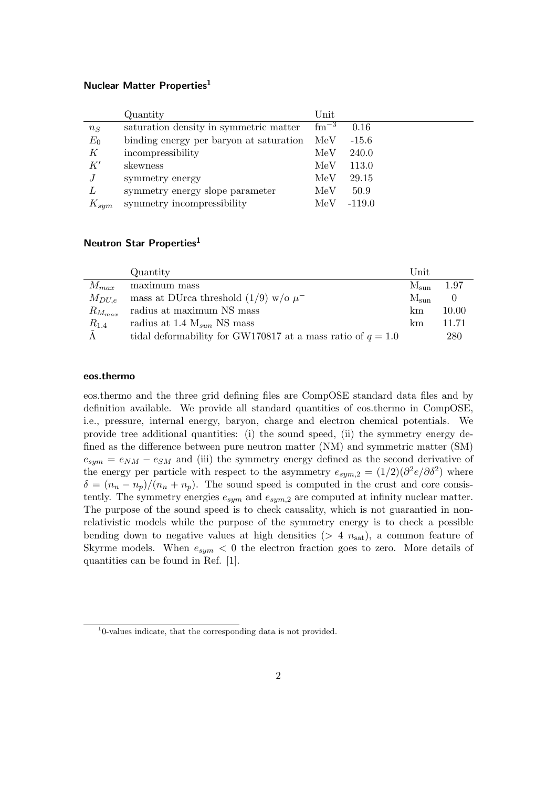# Nuclear Matter Properties<sup>1</sup>

|           | Quantity                                | $\operatorname{Unit}$ |          |
|-----------|-----------------------------------------|-----------------------|----------|
| $n_S$     | saturation density in symmetric matter  | $\rm fm^{-3}$         | 0.16     |
| $E_0$     | binding energy per baryon at saturation | MeV                   | $-15.6$  |
| К         | incompressibility                       | MeV                   | 240.0    |
| K'        | skewness                                | MeV                   | 113.0    |
| J         | symmetry energy                         | MeV                   | 29.15    |
| L         | symmetry energy slope parameter         | MeV                   | 50.9     |
| $K_{sym}$ | symmetry incompressibility              | MeV                   | $-119.0$ |

# Neutron Star Properties<sup>1</sup>

|               | Quantity                                                      | Unit          |       |
|---------------|---------------------------------------------------------------|---------------|-------|
| $M_{max}$     | maximum mass                                                  | $M_{\rm sun}$ | 1.97  |
| $M_{DU,e}$    | mass at DUrca threshold $(1/9)$ w/o $\mu^-$                   | $M_{\rm sun}$ |       |
| $R_{M_{max}}$ | radius at maximum NS mass                                     | km            | 10.00 |
| $R_{1.4}$     | radius at 1.4 $M_{sun}$ NS mass                               | km            | 11.71 |
|               | tidal deformability for GW170817 at a mass ratio of $q = 1.0$ |               | 280   |

## eos.thermo

eos.thermo and the three grid defining files are CompOSE standard data files and by definition available. We provide all standard quantities of eos.thermo in CompOSE, i.e., pressure, internal energy, baryon, charge and electron chemical potentials. We provide tree additional quantities: (i) the sound speed, (ii) the symmetry energy defined as the difference between pure neutron matter (NM) and symmetric matter (SM)  $e_{sym} = e_{NM} - e_{SM}$  and (iii) the symmetry energy defined as the second derivative of the energy per particle with respect to the asymmetry  $e_{sym,2} = (1/2)(\partial^2 e/\partial \delta^2)$  where  $\delta = (n_n - n_p)/(n_n + n_p)$ . The sound speed is computed in the crust and core consistently. The symmetry energies  $e_{sum}$  and  $e_{sum,2}$  are computed at infinity nuclear matter. The purpose of the sound speed is to check causality, which is not guarantied in nonrelativistic models while the purpose of the symmetry energy is to check a possible bending down to negative values at high densities ( $> 4 n_{\text{sat}}$ ), a common feature of Skyrme models. When  $e_{sym}$  < 0 the electron fraction goes to zero. More details of quantities can be found in Ref. [1].

<sup>1</sup> 0-values indicate, that the corresponding data is not provided.